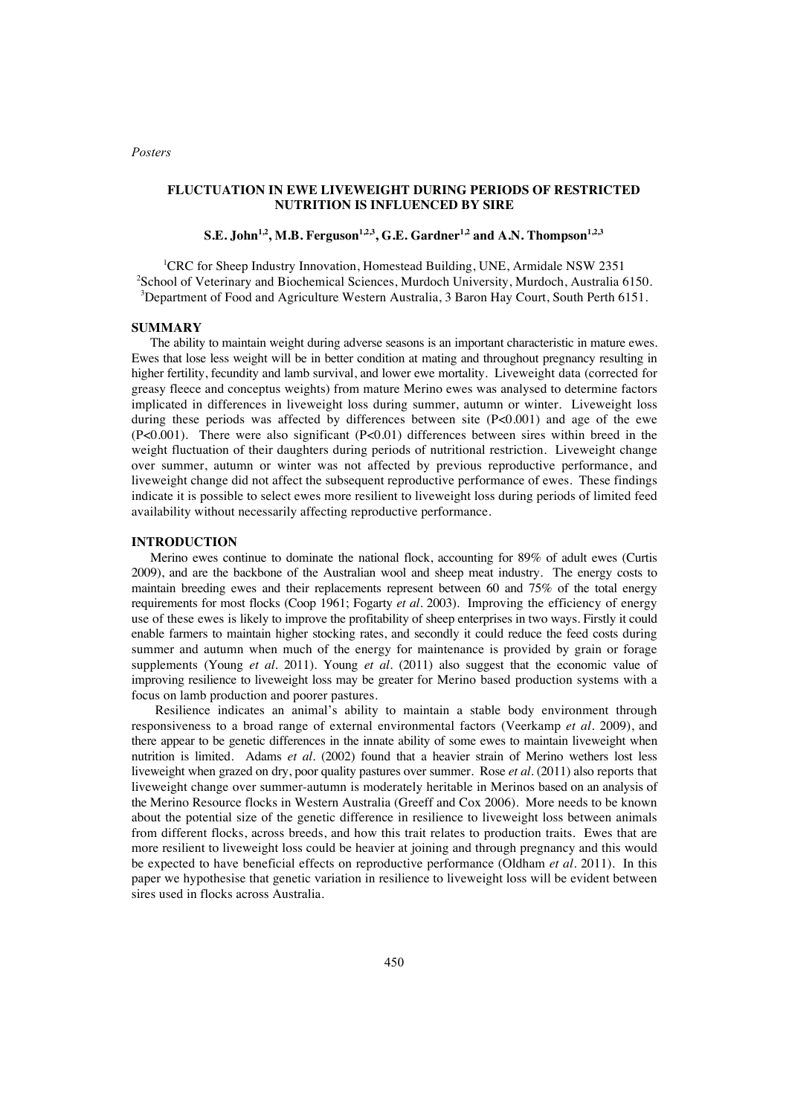## **FLUCTUATION IN EWE LIVEWEIGHT DURING PERIODS OF RESTRICTED NUTRITION IS INFLUENCED BY SIRE**

 $\mathbf{S.E.}\text{ John}^{1,2}, \textbf{M.B.} \text{ Ferguson}^{1,2,3}, \textbf{G.E.} \text{ Gardner}^{1,2} \text{ and A.N.} \text{Thompson}^{1,2,3}$ 

<sup>1</sup>CRC for Sheep Industry Innovation, Homestead Building, UNE, Armidale NSW 2351 <sup>2</sup>School of Veterinary and Biochemical Sciences, Murdoch University, Murdoch, Australia 6150. <sup>3</sup>Department of Food and Agriculture Western Australia, 3 Baron Hay Court, South Perth 6151.

#### **SUMMARY**

The ability to maintain weight during adverse seasons is an important characteristic in mature ewes. Ewes that lose less weight will be in better condition at mating and throughout pregnancy resulting in higher fertility, fecundity and lamb survival, and lower ewe mortality. Liveweight data (corrected for greasy fleece and conceptus weights) from mature Merino ewes was analysed to determine factors implicated in differences in liveweight loss during summer, autumn or winter. Liveweight loss during these periods was affected by differences between site  $(P<0.001)$  and age of the ewe  $(P<0.001)$ . There were also significant  $(P<0.01)$  differences between sires within breed in the weight fluctuation of their daughters during periods of nutritional restriction. Liveweight change over summer, autumn or winter was not affected by previous reproductive performance, and liveweight change did not affect the subsequent reproductive performance of ewes. These findings indicate it is possible to select ewes more resilient to liveweight loss during periods of limited feed availability without necessarily affecting reproductive performance.

## **INTRODUCTION**

Merino ewes continue to dominate the national flock, accounting for 89% of adult ewes (Curtis 2009), and are the backbone of the Australian wool and sheep meat industry. The energy costs to maintain breeding ewes and their replacements represent between 60 and 75% of the total energy requirements for most flocks (Coop 1961; Fogarty *et al.* 2003). Improving the efficiency of energy use of these ewes is likely to improve the profitability of sheep enterprises in two ways. Firstly it could enable farmers to maintain higher stocking rates, and secondly it could reduce the feed costs during summer and autumn when much of the energy for maintenance is provided by grain or forage supplements (Young *et al*. 2011). Young *et al.* (2011) also suggest that the economic value of improving resilience to liveweight loss may be greater for Merino based production systems with a focus on lamb production and poorer pastures.

Resilience indicates an animal's ability to maintain a stable body environment through responsiveness to a broad range of external environmental factors (Veerkamp *et al.* 2009), and there appear to be genetic differences in the innate ability of some ewes to maintain liveweight when nutrition is limited. Adams *et al.* (2002) found that a heavier strain of Merino wethers lost less liveweight when grazed on dry, poor quality pastures over summer. Rose *et al.* (2011) also reports that liveweight change over summer-autumn is moderately heritable in Merinos based on an analysis of the Merino Resource flocks in Western Australia (Greeff and Cox 2006). More needs to be known about the potential size of the genetic difference in resilience to liveweight loss between animals from different flocks, across breeds, and how this trait relates to production traits. Ewes that are more resilient to liveweight loss could be heavier at joining and through pregnancy and this would be expected to have beneficial effects on reproductive performance (Oldham *et al.* 2011). In this paper we hypothesise that genetic variation in resilience to liveweight loss will be evident between sires used in flocks across Australia.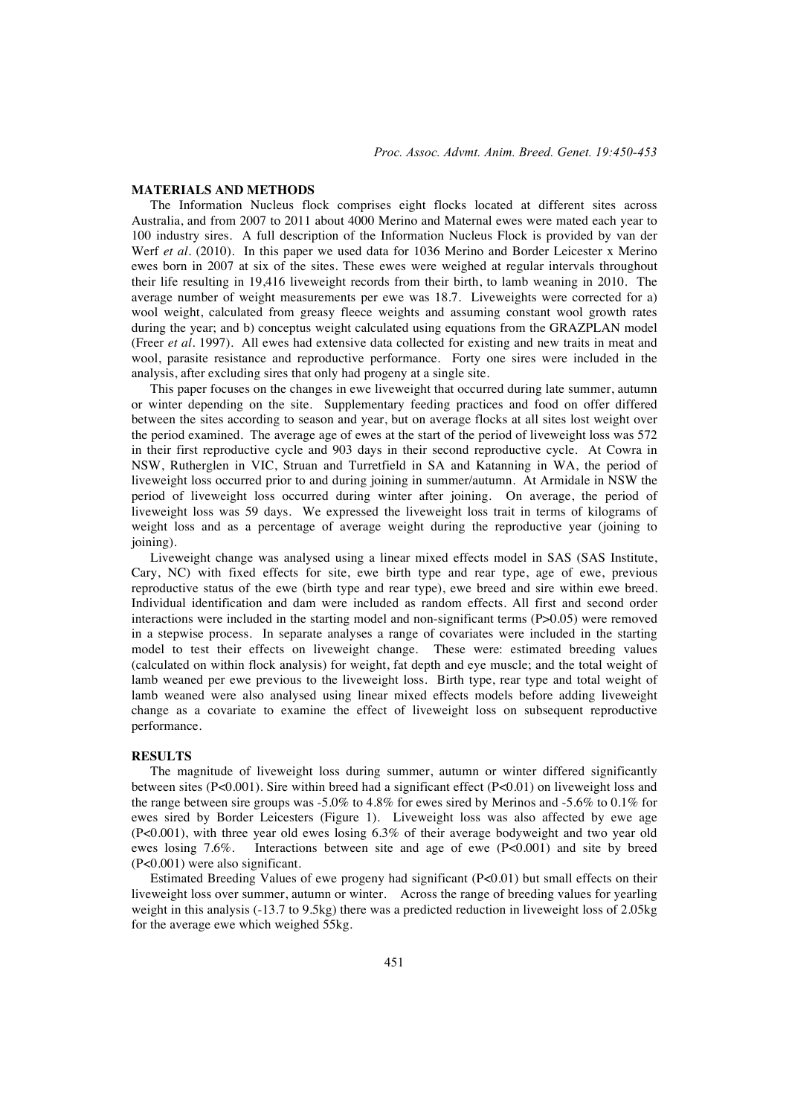#### **MATERIALS AND METHODS**

The Information Nucleus flock comprises eight flocks located at different sites across Australia, and from 2007 to 2011 about 4000 Merino and Maternal ewes were mated each year to 100 industry sires. A full description of the Information Nucleus Flock is provided by van der Werf *et al.* (2010). In this paper we used data for 1036 Merino and Border Leicester x Merino ewes born in 2007 at six of the sites. These ewes were weighed at regular intervals throughout their life resulting in 19,416 liveweight records from their birth, to lamb weaning in 2010. The average number of weight measurements per ewe was 18.7. Liveweights were corrected for a) wool weight, calculated from greasy fleece weights and assuming constant wool growth rates during the year; and b) conceptus weight calculated using equations from the GRAZPLAN model (Freer *et al.* 1997). All ewes had extensive data collected for existing and new traits in meat and wool, parasite resistance and reproductive performance. Forty one sires were included in the analysis, after excluding sires that only had progeny at a single site.

This paper focuses on the changes in ewe liveweight that occurred during late summer, autumn or winter depending on the site. Supplementary feeding practices and food on offer differed between the sites according to season and year, but on average flocks at all sites lost weight over the period examined. The average age of ewes at the start of the period of liveweight loss was 572 in their first reproductive cycle and 903 days in their second reproductive cycle. At Cowra in NSW, Rutherglen in VIC, Struan and Turretfield in SA and Katanning in WA, the period of liveweight loss occurred prior to and during joining in summer/autumn. At Armidale in NSW the period of liveweight loss occurred during winter after joining. On average, the period of liveweight loss was 59 days. We expressed the liveweight loss trait in terms of kilograms of weight loss and as a percentage of average weight during the reproductive year (joining to joining).

Liveweight change was analysed using a linear mixed effects model in SAS (SAS Institute, Cary, NC) with fixed effects for site, ewe birth type and rear type, age of ewe, previous reproductive status of the ewe (birth type and rear type), ewe breed and sire within ewe breed. Individual identification and dam were included as random effects. All first and second order interactions were included in the starting model and non-significant terms (P>0.05) were removed in a stepwise process. In separate analyses a range of covariates were included in the starting model to test their effects on liveweight change. These were: estimated breeding values (calculated on within flock analysis) for weight, fat depth and eye muscle; and the total weight of lamb weaned per ewe previous to the liveweight loss. Birth type, rear type and total weight of lamb weaned were also analysed using linear mixed effects models before adding liveweight change as a covariate to examine the effect of liveweight loss on subsequent reproductive performance.

#### **RESULTS**

The magnitude of liveweight loss during summer, autumn or winter differed significantly between sites (P<0.001). Sire within breed had a significant effect (P<0.01) on liveweight loss and the range between sire groups was -5.0% to 4.8% for ewes sired by Merinos and -5.6% to 0.1% for ewes sired by Border Leicesters (Figure 1). Liveweight loss was also affected by ewe age (P<0.001), with three year old ewes losing 6.3% of their average bodyweight and two year old ewes losing 7.6%. Interactions between site and age of ewe (P<0.001) and site by breed (P<0.001) were also significant.

Estimated Breeding Values of ewe progeny had significant (P<0.01) but small effects on their liveweight loss over summer, autumn or winter. Across the range of breeding values for yearling weight in this analysis (-13.7 to 9.5kg) there was a predicted reduction in liveweight loss of 2.05kg for the average ewe which weighed 55kg.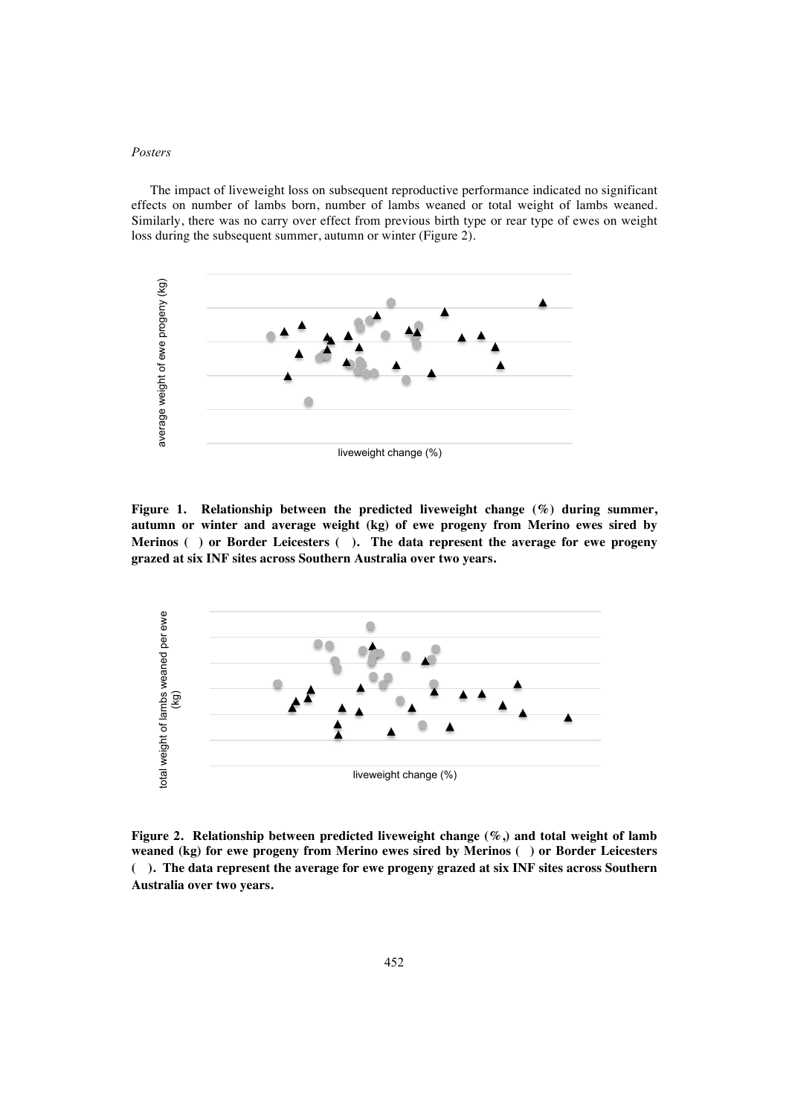# *Posters*

The impact of liveweight loss on subsequent reproductive performance indicated no significant effects on number of lambs born, number of lambs weaned or total weight of lambs weaned. Similarly, there was no carry over effect from previous birth type or rear type of ewes on weight loss during the subsequent summer, autumn or winter (Figure 2).



**Figure 1. Relationship between the predicted liveweight change (%) during summer, autumn or winter and average weight (kg) of ewe progeny from Merino ewes sired by Merinos () or Border Leicesters (). The data represent the average for ewe progeny grazed at six INF sites across Southern Australia over two years.** 



**Figure 2. Relationship between predicted liveweight change (%,) and total weight of lamb weaned (kg) for ewe progeny from Merino ewes sired by Merinos () or Border Leicesters (). The data represent the average for ewe progeny grazed at six INF sites across Southern**